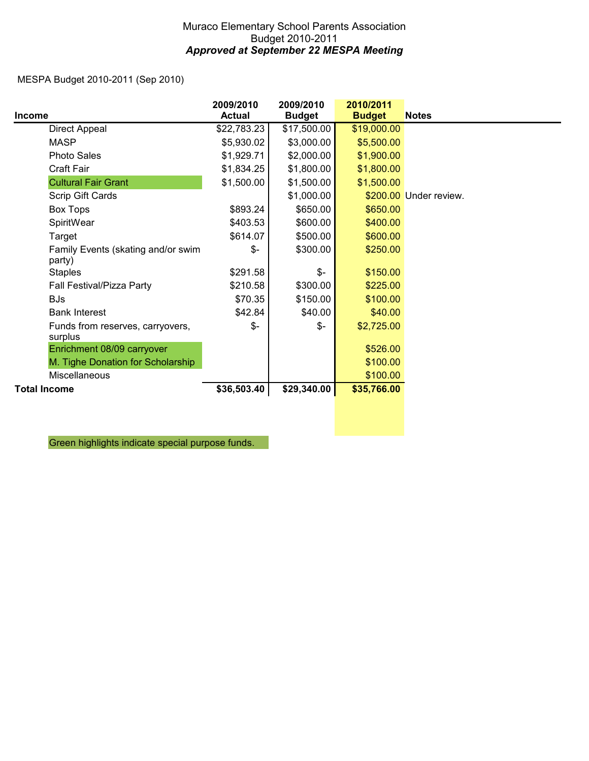## Muraco Elementary School Parents Association Budget 2010-2011 *Approved at September 22 MESPA Meeting*

MESPA Budget 2010-2011 (Sep 2010)

|                                              | 2009/2010     | 2009/2010      | 2010/2011     |                        |
|----------------------------------------------|---------------|----------------|---------------|------------------------|
| <b>Income</b>                                | <b>Actual</b> | <b>Budget</b>  | <b>Budget</b> | <b>Notes</b>           |
| Direct Appeal                                | \$22,783.23   | \$17,500.00    | \$19,000.00   |                        |
| <b>MASP</b>                                  | \$5,930.02    | \$3,000.00     | \$5,500.00    |                        |
| <b>Photo Sales</b>                           | \$1,929.71    | \$2,000.00     | \$1,900.00    |                        |
| Craft Fair                                   | \$1,834.25    | \$1,800.00     | \$1,800.00    |                        |
| <b>Cultural Fair Grant</b>                   | \$1,500.00    | \$1,500.00     | \$1,500.00    |                        |
| Scrip Gift Cards                             |               | \$1,000.00     |               | \$200.00 Under review. |
| <b>Box Tops</b>                              | \$893.24      | \$650.00       | \$650.00      |                        |
| SpiritWear                                   | \$403.53      | \$600.00       | \$400.00      |                        |
| Target                                       | \$614.07      | \$500.00       | \$600.00      |                        |
| Family Events (skating and/or swim<br>party) | $\frac{2}{3}$ | \$300.00       | \$250.00      |                        |
| <b>Staples</b>                               | \$291.58      | \$-            | \$150.00      |                        |
| Fall Festival/Pizza Party                    | \$210.58      | \$300.00       | \$225.00      |                        |
| <b>BJs</b>                                   | \$70.35       | \$150.00       | \$100.00      |                        |
| <b>Bank Interest</b>                         | \$42.84       | \$40.00        | \$40.00       |                        |
| Funds from reserves, carryovers,<br>surplus  | $\frac{2}{3}$ | $\mathcal{S}-$ | \$2,725.00    |                        |
| Enrichment 08/09 carryover                   |               |                | \$526.00      |                        |
| M. Tighe Donation for Scholarship            |               |                | \$100.00      |                        |
| Miscellaneous                                |               |                | \$100.00      |                        |
| <b>Total Income</b>                          | \$36,503.40   | \$29,340.00    | \$35,766.00   |                        |

Green highlights indicate special purpose funds.